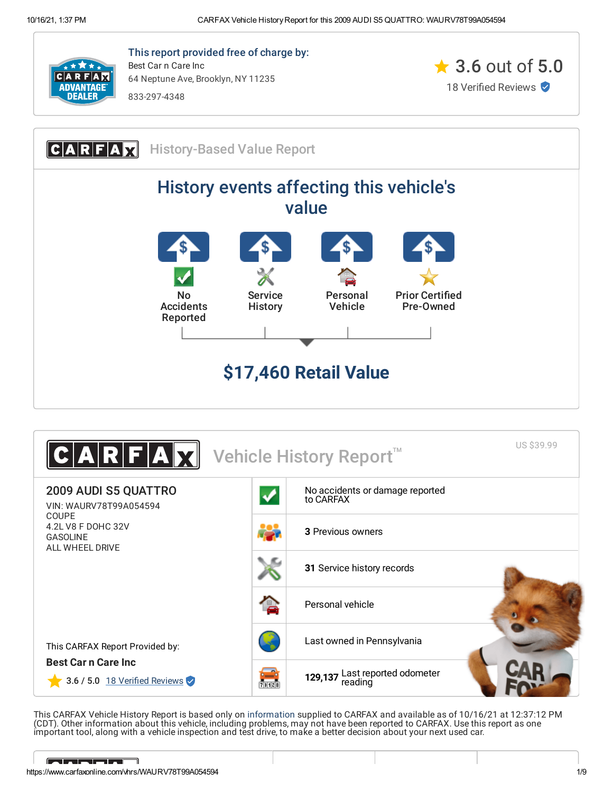

This report provided free of charge by: Best Car n Care Inc 64 Neptune Ave, Brooklyn, NY 11235

833-297-4348







<span id="page-0-0"></span>This CARFAX Vehicle History Report is based only on [information](http://www.carfax.com/company/vhr-data-sources) supplied to CARFAX and available as of 10/16/21 at 12:37:12 PM (CDT). Other information about this vehicle, including problems, may not have been reported to CARFAX. Use this report as one important tool, along with a vehicle inspection and test drive, to make a better decision about your next used car.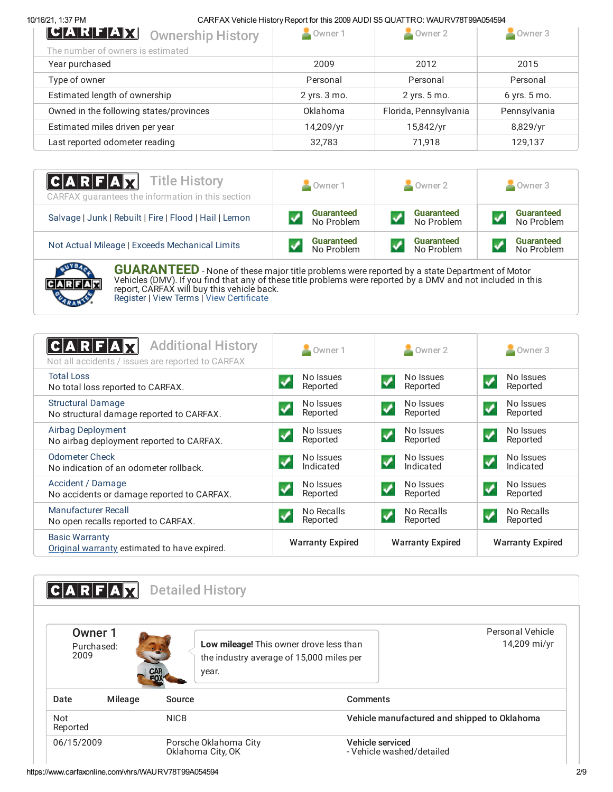# 10/16/21, 1:37 PM CARFAX Vehicle HistoryReport for this 2009 AUDI S5 QUATTRO: WAURV78T99A054594

| Owner 1      | Owner 2               | Owner 3      |
|--------------|-----------------------|--------------|
|              |                       |              |
| 2009         | 2012                  | 2015         |
| Personal     | Personal              | Personal     |
| 2 yrs. 3 mo. | 2 yrs. 5 mo.          | 6 yrs. 5 mo. |
| Oklahoma     | Florida, Pennsylvania | Pennsylvania |
| 14,209/yr    | 15,842/yr             | 8,829/yr     |
| 32,783       | 71.918                | 129,137      |
|              |                       |              |

| <b>CARFAX</b> Title History<br>CARFAX guarantees the information in this section | Owner 1           | Owner 2           | Owner 3           |
|----------------------------------------------------------------------------------|-------------------|-------------------|-------------------|
| Salvage   Junk   Rebuilt   Fire   Flood   Hail   Lemon                           | <b>Guaranteed</b> | Guaranteed        | <b>Guaranteed</b> |
|                                                                                  | No Problem        | No Problem        | No Problem        |
| Not Actual Mileage   Exceeds Mechanical Limits                                   | Guaranteed        | <b>Guaranteed</b> | <b>Guaranteed</b> |
|                                                                                  | No Problem        | No Problem        | No Problem        |



**GUARANTEED** - None of these major title problems were reported by <sup>a</sup> state Department of Motor Vehicles (DMV). If you find that any of these title problems were reported by a DMV and not included in this report, CARFAX will buy this vehicle back. [Register](https://www.carfax.com/Service/bbg) | View [Terms](http://www.carfaxonline.com/legal/bbgTerms) | View [Certificate](https://www.carfaxonline.com/vhrs/WAURV78T99A054594)

<span id="page-1-0"></span>

| <b>Additional History</b><br>$ {\bf C} {\bf A} {\bf R} {\bf F} {\bf A}$<br>Not all accidents / issues are reported to CARFAX | Owner 1                 | $\sim$ Owner 2                                      | Owner 3                                           |
|------------------------------------------------------------------------------------------------------------------------------|-------------------------|-----------------------------------------------------|---------------------------------------------------|
| <b>Total Loss</b><br>No total loss reported to CARFAX.                                                                       | No Issues<br>Reported   | No Issues<br>$\boldsymbol{\mathcal{N}}$<br>Reported | No Issues<br>✓<br>Reported                        |
| <b>Structural Damage</b><br>No structural damage reported to CARFAX.                                                         | No Issues<br>Reported   | No Issues<br>$\boldsymbol{J}$<br>Reported           | No Issues<br>$\overline{\mathcal{L}}$<br>Reported |
| Airbag Deployment<br>No airbag deployment reported to CARFAX.                                                                | No Issues<br>Reported   | No Issues<br>$\blacktriangledown$<br>Reported       | No Issues<br>↵<br>Reported                        |
| Odometer Check<br>No indication of an odometer rollback.                                                                     | No Issues<br>Indicated  | No Issues<br>$\blacktriangledown$<br>Indicated      | No Issues<br>$\overline{\mathbf{v}}$<br>Indicated |
| Accident / Damage<br>No accidents or damage reported to CARFAX.                                                              | No Issues<br>Reported   | No Issues<br>$\boldsymbol{v}$<br>Reported           | No Issues<br>$\boldsymbol{v}$<br>Reported         |
| Manufacturer Recall<br>No open recalls reported to CARFAX.                                                                   | No Recalls<br>Reported  | No Recalls<br>Reported                              | No Recalls<br>↵<br>Reported                       |
| <b>Basic Warranty</b><br>Original warranty estimated to have expired.                                                        | <b>Warranty Expired</b> | <b>Warranty Expired</b>                             | <b>Warranty Expired</b>                           |

<span id="page-1-1"></span>

| Owner 1<br>Purchased:<br>2009 | <b>RFA</b> | <b>Detailed History</b><br><b>CAR</b><br>FOX<br>year. | Personal Vehicle<br>14,209 mi/yr<br>Low mileage! This owner drove less than<br>the industry average of 15,000 miles per |
|-------------------------------|------------|-------------------------------------------------------|-------------------------------------------------------------------------------------------------------------------------|
| Date                          | Mileage    | Source                                                | Comments                                                                                                                |
| Not<br>Reported               |            | <b>NICB</b>                                           | Vehicle manufactured and shipped to Oklahoma                                                                            |
| 06/15/2009                    |            | Porsche Oklahoma City<br>Oklahoma City, OK            | Vehicle serviced<br>- Vehicle washed/detailed                                                                           |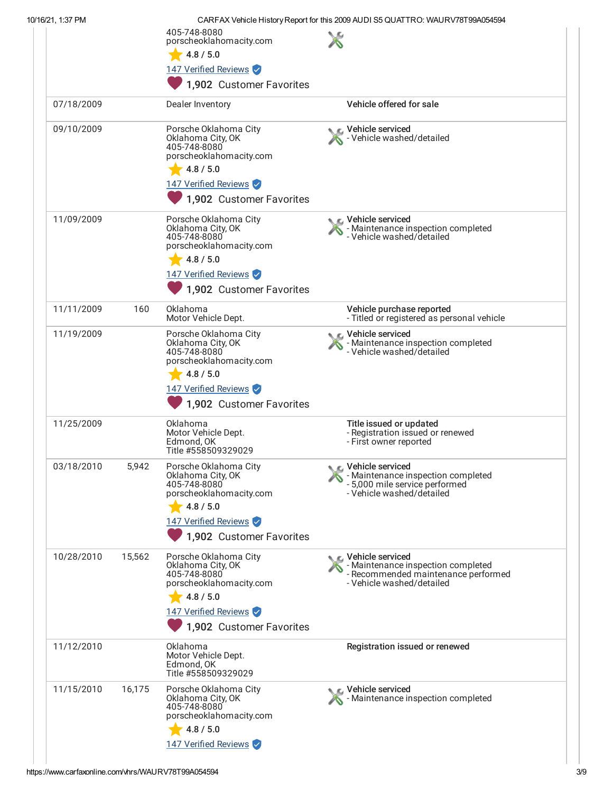| 10/16/21, 1:37 PM |        |                                                                                                                                                        | CARFAX Vehicle History Report for this 2009 AUDI S5 QUATTRO: WAURV78T99A054594                                                 |
|-------------------|--------|--------------------------------------------------------------------------------------------------------------------------------------------------------|--------------------------------------------------------------------------------------------------------------------------------|
|                   |        | 405-748-8080<br>porscheoklahomacity.com<br>4.8 / 5.0                                                                                                   |                                                                                                                                |
|                   |        | 147 Verified Reviews<br>1,902 Customer Favorites                                                                                                       |                                                                                                                                |
| 07/18/2009        |        | Dealer Inventory                                                                                                                                       | Vehicle offered for sale                                                                                                       |
| 09/10/2009        |        | Porsche Oklahoma City<br>Oklahoma City, OK<br>405-748-8080<br>porscheoklahomacity.com<br>4.8 / 5.0<br>147 Verified Reviews<br>1,902 Customer Favorites | Vehicle serviced<br>- Vehicle washed/detailed                                                                                  |
| 11/09/2009        |        | Porsche Oklahoma City<br>Oklahoma City, OK<br>405-748-8080<br>porscheoklahomacity.com<br>4.8 / 5.0<br>147 Verified Reviews<br>1,902 Customer Favorites | Vehicle serviced<br>- Maintenance inspection completed<br>- Vehicle washed/detailed                                            |
| 11/11/2009        | 160    | Oklahoma<br>Motor Vehicle Dept.                                                                                                                        | Vehicle purchase reported<br>- Titled or registered as personal vehicle                                                        |
| 11/19/2009        |        | Porsche Oklahoma City<br>Oklahoma City, OK<br>405-748-8080<br>porscheoklahomacity.com<br>4.8 / 5.0<br>147 Verified Reviews<br>1,902 Customer Favorites | Vehicle serviced<br>- Maintenance inspection completed<br>- Vehicle washed/detailed                                            |
| 11/25/2009        |        | Oklahoma<br>Motor Vehicle Dept.<br>Edmond, OK<br>Title #558509329029                                                                                   | Title issued or updated<br>- Registration issued or renewed<br>- First owner reported                                          |
| 03/18/2010        | 5,942  | Porsche Oklahoma City<br>Oklahoma City, OK<br>405-748-8080<br>porscheoklahomacity.com<br>4.8 / 5.0<br>147 Verified Reviews<br>1,902 Customer Favorites | Vehicle serviced<br>- Maintenance inspection completed<br>- 5,000 mile service performed<br>- Vehicle washed/detailed          |
| 10/28/2010        | 15,562 | Porsche Oklahoma City<br>Oklahoma City, OK<br>405-748-8080<br>porscheoklahomacity.com<br>4.8 / 5.0<br>147 Verified Reviews<br>1,902 Customer Favorites | ९ ∟ Vehicle serviced<br>- Maintenance inspection completed<br>- Recommended maintenance performed<br>- Vehicle washed/detailed |
| 11/12/2010        |        | Oklahoma<br>Motor Vehicle Dept.<br>Edmond, OK<br>Title #558509329029                                                                                   | Registration issued or renewed                                                                                                 |
| 11/15/2010        | 16,175 | Porsche Oklahoma City<br>Oklahoma City, OK<br>405-748-8080<br>porscheoklahomacity.com<br>4.8 / 5.0<br>147 Verified Reviews                             | Vehicle serviced<br>- Maintenance inspection completed                                                                         |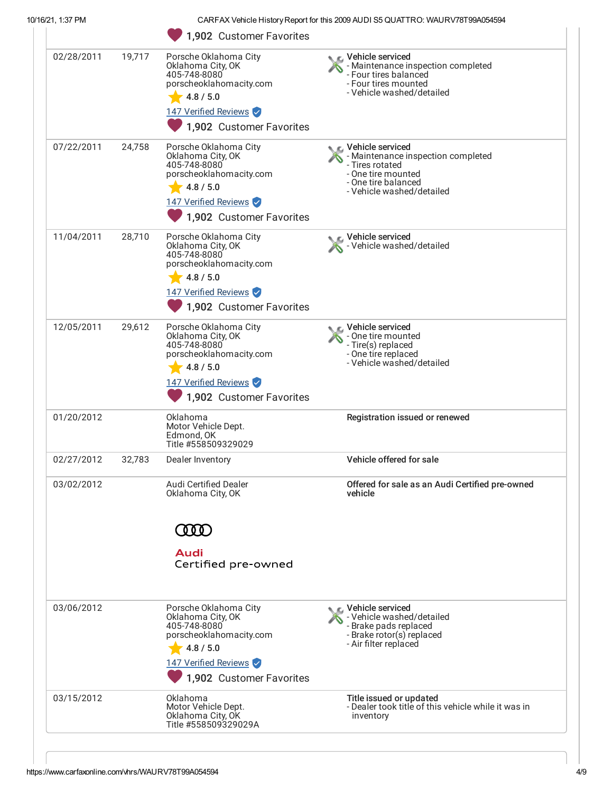| 10/16/21, 1:37 PM |        |                                                                                                                                                        | CARFAX Vehicle History Report for this 2009 AUDI S5 QUATTRO: WAURV78T99A054594                                                                               |
|-------------------|--------|--------------------------------------------------------------------------------------------------------------------------------------------------------|--------------------------------------------------------------------------------------------------------------------------------------------------------------|
|                   |        | 1,902 Customer Favorites                                                                                                                               |                                                                                                                                                              |
| 02/28/2011        | 19,717 | Porsche Oklahoma City<br>Oklahoma City, OK<br>405-748-8080<br>porscheoklahomacity.com<br>4.8 / 5.0<br>147 Verified Reviews<br>1,902 Customer Favorites | Vehicle serviced<br>- Maintenance inspection completed<br>- Four tires balanced<br>- Four tires mounted<br>- Vehicle washed/detailed                         |
| 07/22/2011        | 24,758 | Porsche Oklahoma City<br>Oklahoma City, OK<br>405-748-8080<br>porscheoklahomacity.com<br>4.8 / 5.0<br>147 Verified Reviews<br>1,902 Customer Favorites | <b>C</b> Vehicle serviced<br>- Maintenance inspection completed<br>- Tires rotated<br>- One tire mounted<br>- One tire balanced<br>- Vehicle washed/detailed |
| 11/04/2011        | 28,710 | Porsche Oklahoma City<br>Oklahoma City, OK<br>405-748-8080<br>porscheoklahomacity.com<br>4.8 / 5.0<br>147 Verified Reviews<br>1,902 Customer Favorites | Vehicle serviced<br>Vehicle washed/detailed                                                                                                                  |
| 12/05/2011        | 29,612 | Porsche Oklahoma City<br>Oklahoma City, OK<br>405-748-8080<br>porscheoklahomacity.com<br>4.8 / 5.0<br>147 Verified Reviews<br>1,902 Customer Favorites | $_{\mathbb{L}}$ Vehicle serviced<br>- One tire mounted<br>- Tire(s) replaced<br>- One tire replaced<br>- Vehicle washed/detailed                             |
| 01/20/2012        |        | Oklahoma<br>Motor Vehicle Dept.<br>Edmond, OK<br>Title #558509329029                                                                                   | Registration issued or renewed                                                                                                                               |
| 02/27/2012        | 32,783 | Dealer Inventory                                                                                                                                       | Vehicle offered for sale                                                                                                                                     |
| 03/02/2012        |        | <b>Audi Certified Dealer</b><br>Oklahoma City, OK                                                                                                      | Offered for sale as an Audi Certified pre-owned<br>vehicle                                                                                                   |
|                   |        | Audi<br>Certified pre-owned                                                                                                                            |                                                                                                                                                              |
| 03/06/2012        |        | Porsche Oklahoma City<br>Oklahoma City, OK<br>405-748-8080<br>porscheoklahomacity.com<br>4.8 / 5.0<br>147 Verified Reviews<br>1,902 Customer Favorites | r⊾ Vehicle serviced<br>- Vehicle washed/detailed<br>- Brake pads replaced<br>- Brake rotor(s) replaced<br>- Air filter replaced                              |
| 03/15/2012        |        | Oklahoma<br>Motor Vehicle Dept.<br>Oklahoma City, OK<br>Title #558509329029A                                                                           | Title issued or updated<br>- Dealer took title of this vehicle while it was in<br>inventory                                                                  |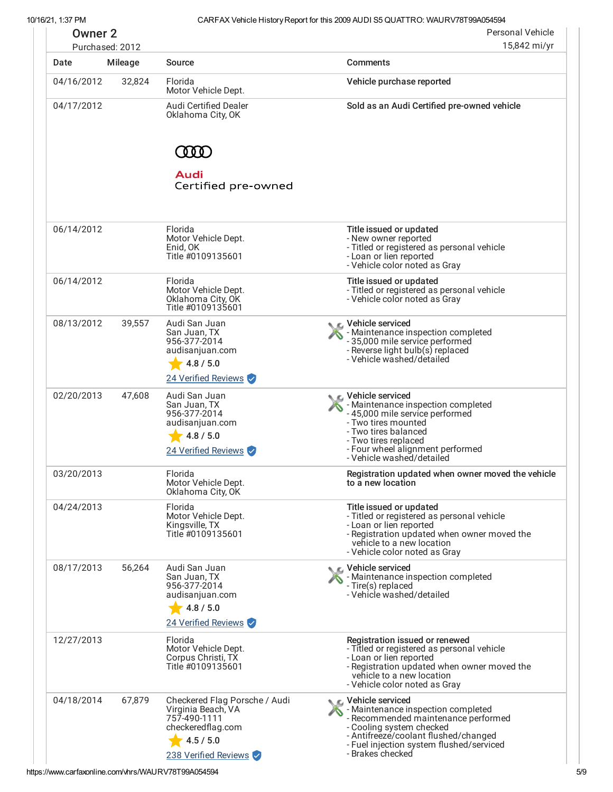10/16/21, 1:37 PM CARFAX Vehicle HistoryReport for this 2009 AUDI S5 QUATTRO: WAURV78T99A054594

|            | Personal Vehicle<br><b>Owner 2</b><br>15,842 mi/yr<br>Purchased: 2012 |                                                                                                                               |                                                                                                                                                                                                                                     |
|------------|-----------------------------------------------------------------------|-------------------------------------------------------------------------------------------------------------------------------|-------------------------------------------------------------------------------------------------------------------------------------------------------------------------------------------------------------------------------------|
| Date       | Mileage                                                               | Source                                                                                                                        | <b>Comments</b>                                                                                                                                                                                                                     |
| 04/16/2012 | 32,824                                                                | Florida<br>Motor Vehicle Dept.                                                                                                | Vehicle purchase reported                                                                                                                                                                                                           |
| 04/17/2012 |                                                                       | <b>Audi Certified Dealer</b><br>Oklahoma City, OK                                                                             | Sold as an Audi Certified pre-owned vehicle                                                                                                                                                                                         |
|            |                                                                       | <b>MO</b>                                                                                                                     |                                                                                                                                                                                                                                     |
|            |                                                                       | Audi<br>Certified pre-owned                                                                                                   |                                                                                                                                                                                                                                     |
| 06/14/2012 |                                                                       | Florida<br>Motor Vehicle Dept.<br>Enid, OK<br>Title #0109135601                                                               | Title issued or updated<br>- New owner reported<br>- Titled or registered as personal vehicle<br>- Loan or lien reported<br>- Vehicle color noted as Gray                                                                           |
| 06/14/2012 |                                                                       | Florida<br>Motor Vehicle Dept.<br>Oklahoma City, OK<br>Title #0109135601                                                      | Title issued or updated<br>- Titled or registered as personal vehicle<br>- Vehicle color noted as Gray                                                                                                                              |
| 08/13/2012 | 39,557                                                                | Audi San Juan<br>San Juan, TX<br>956-377-2014<br>audisanjuan.com<br>4.8 / 5.0                                                 | C Vehicle serviced<br>- Maintenance inspection completed<br>- 35,000 mile service performed<br>- Reverse light bulb(s) replaced<br>- Vehicle washed/detailed                                                                        |
| 02/20/2013 | 47,608                                                                | 24 Verified Reviews<br>Audi San Juan<br>San Juan, TX<br>956-377-2014<br>audisanjuan.com<br>4.8 / 5.0<br>24 Verified Reviews   | C Vehicle serviced<br>- Maintenance inspection completed<br>- 45,000 mile service performed<br>- Two tires mounted<br>- Two tires balanced<br>- Two tires replaced<br>- Four wheel alignment performed<br>- Vehicle washed/detailed |
| 03/20/2013 |                                                                       | Florida<br>Motor Vehicle Dept.<br>Oklahoma City, OK                                                                           | Registration updated when owner moved the vehicle<br>to a new location                                                                                                                                                              |
| 04/24/2013 |                                                                       | Florida<br>Motor Vehicle Dept.<br>Kingsville, TX<br>Title #0109135601                                                         | Title issued or updated<br>- Titled or registered as personal vehicle<br>- Loan or lien reported<br>- Registration updated when owner moved the<br>vehicle to a new location<br>- Vehicle color noted as Gray                       |
| 08/17/2013 | 56,264                                                                | Audi San Juan<br>San Juan, TX<br>956-377-2014<br>audisanjuan.com<br>4.8 / 5.0<br>24 Verified Reviews                          | C Vehicle serviced<br>- Maintenance inspection completed<br>- Tire(s) replaced<br>- Vehicle washed/detailed                                                                                                                         |
| 12/27/2013 |                                                                       | Florida<br>Motor Vehicle Dept.<br>Corpus Christi, TX<br>Title #0109135601                                                     | Registration issued or renewed<br>- Titled or registered as personal vehicle<br>- Loan or lien reported<br>- Registration updated when owner moved the<br>vehicle to a new location<br>- Vehicle color noted as Gray                |
| 04/18/2014 | 67,879                                                                | Checkered Flag Porsche / Audi<br>Virginia Beach, VA<br>757-490-1111<br>checkeredflag.com<br>4.5 / 5.0<br>238 Verified Reviews | C Vehicle serviced<br>- Maintenance inspection completed<br>- Recommended maintenance performed<br>- Cooling system checked<br>- Antifreeze/coolant flushed/changed<br>- Fuel injection system flushed/serviced<br>- Brakes checked |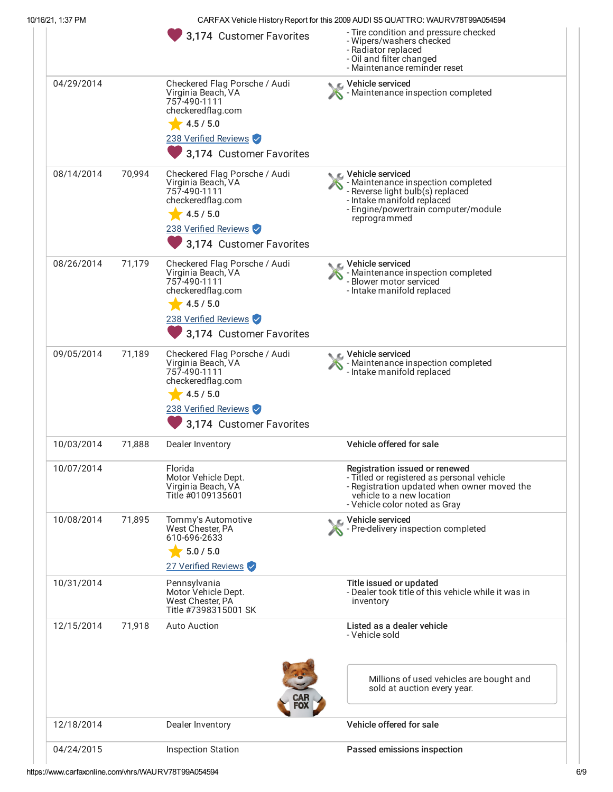| CARFAX Vehicle History Report for this 2009 AUDI S5 QUATTRO: WAURV78T99A054594 |  |
|--------------------------------------------------------------------------------|--|
|--------------------------------------------------------------------------------|--|

|            |        | 3,174 Customer Favorites                                                                                                                                  | - Tire condition and pressure checked<br>- Wipers/washers checked<br>- Radiator replaced<br>- Oil and filter changed<br>- Maintenance reminder reset                                      |
|------------|--------|-----------------------------------------------------------------------------------------------------------------------------------------------------------|-------------------------------------------------------------------------------------------------------------------------------------------------------------------------------------------|
| 04/29/2014 |        | Checkered Flag Porsche / Audi<br>Virginia Beach, VA<br>757-490-1111<br>checkeredflag.com<br>4.5 / 5.0<br>238 Verified Reviews<br>3,174 Customer Favorites | C Vehicle serviced<br>- Maintenance inspection completed                                                                                                                                  |
| 08/14/2014 | 70,994 | Checkered Flag Porsche / Audi<br>Virginia Beach, VA<br>757-490-1111<br>checkeredflag.com<br>4.5 / 5.0<br>238 Verified Reviews<br>3,174 Customer Favorites | C Vehicle serviced<br>- Maintenance inspection completed<br>- Reverse light bulb(s) replaced<br>- Intake manifold replaced<br>- Engine/powertrain computer/module<br>reprogrammed         |
| 08/26/2014 | 71,179 | Checkered Flag Porsche / Audi<br>Virginia Beach, VA<br>757-490-1111<br>checkeredflag.com<br>4.5 / 5.0<br>238 Verified Reviews<br>3,174 Customer Favorites | C Vehicle serviced<br>- Maintenance inspection completed<br>- Blower motor serviced<br>- Intake manifold replaced                                                                         |
| 09/05/2014 | 71,189 | Checkered Flag Porsche / Audi<br>Virginia Beach, VA<br>757-490-1111<br>checkeredflag.com<br>4.5 / 5.0<br>238 Verified Reviews<br>3,174 Customer Favorites | C Vehicle serviced<br>- Maintenance inspection completed<br>- Intake manifold replaced                                                                                                    |
| 10/03/2014 | 71,888 | Dealer Inventory                                                                                                                                          | Vehicle offered for sale                                                                                                                                                                  |
| 10/07/2014 |        | Florida<br>Motor Vehicle Dept.<br>Virginia Beach, VA<br>Title #0109135601                                                                                 | Registration issued or renewed<br>- Titled or registered as personal vehicle<br>- Registration updated when owner moved the<br>vehicle to a new location<br>- Vehicle color noted as Gray |
| 10/08/2014 | 71,895 | Tommy's Automotive<br>West Chester, PA<br>610-696-2633<br>$\frac{1}{2}$ 5.0 / 5.0<br>27 Verified Reviews                                                  | C Vehicle serviced<br>Pre-delivery inspection completed                                                                                                                                   |
| 10/31/2014 |        | Pennsylvania<br>Motor Vehicle Dept.<br>West Chester, PA<br>Title #7398315001 SK                                                                           | Title issued or updated<br>- Dealer took title of this vehicle while it was in<br>inventory                                                                                               |
| 12/15/2014 | 71,918 | <b>Auto Auction</b>                                                                                                                                       | Listed as a dealer vehicle<br>- Vehicle sold                                                                                                                                              |
|            |        |                                                                                                                                                           | Millions of used vehicles are bought and<br>sold at auction every year.                                                                                                                   |
| 12/18/2014 |        | Dealer Inventory                                                                                                                                          | Vehicle offered for sale                                                                                                                                                                  |
| 04/24/2015 |        | <b>Inspection Station</b>                                                                                                                                 | Passed emissions inspection                                                                                                                                                               |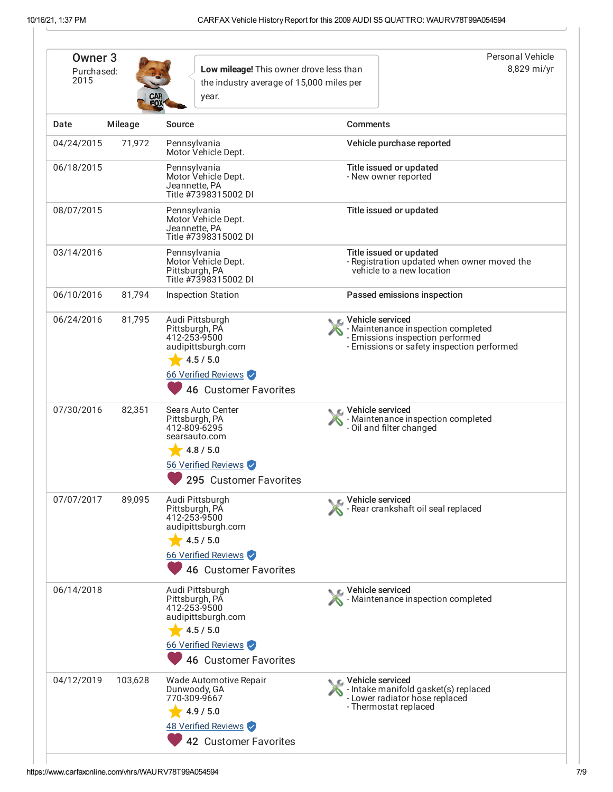| Owner <sub>3</sub><br>Purchased:<br>2015 |         | Low mileage! This owner drove less than<br>the industry average of 15,000 miles per<br>year.                                              |                 | Personal Vehicle<br>8,829 mi/yr                                                                                                             |
|------------------------------------------|---------|-------------------------------------------------------------------------------------------------------------------------------------------|-----------------|---------------------------------------------------------------------------------------------------------------------------------------------|
| Date                                     | Mileage | Source                                                                                                                                    | <b>Comments</b> |                                                                                                                                             |
| 04/24/2015                               | 71,972  | Pennsylvania<br>Motor Vehicle Dept.                                                                                                       |                 | Vehicle purchase reported                                                                                                                   |
| 06/18/2015                               |         | Pennsylvania<br>Motor Vehicle Dept.<br>Jeannette, PA<br>Title #7398315002 DI                                                              |                 | Title issued or updated<br>- New owner reported                                                                                             |
| 08/07/2015                               |         | Pennsylvania<br>Motor Vehicle Dept.<br>Jeannette, PA<br>Title #7398315002 DI                                                              |                 | Title issued or updated                                                                                                                     |
| 03/14/2016                               |         | Pennsylvania<br>Motor Vehicle Dept.<br>Pittsburgh, PA<br>Title #7398315002 DI                                                             |                 | Title issued or updated<br>- Registration updated when owner moved the<br>vehicle to a new location                                         |
| 06/10/2016                               | 81,794  | <b>Inspection Station</b>                                                                                                                 |                 | Passed emissions inspection                                                                                                                 |
| 06/24/2016                               | 81,795  | Audi Pittsburgh<br>Pittsburgh, PA<br>412-253-9500<br>audipittsburgh.com<br>4.5 / 5.0<br>66 Verified Reviews<br>46 Customer Favorites      |                 | C. Vehicle serviced<br>- Maintenance inspection completed<br>- Emissions inspection performed<br>- Emissions or safety inspection performed |
| 07/30/2016                               | 82,351  | <b>Sears Auto Center</b><br>Pittsburgh, PA<br>412-809-6295<br>searsauto.com<br>4.8 / 5.0<br>56 Verified Reviews<br>295 Customer Favorites |                 | C Vehicle serviced<br>- Maintenance inspection completed<br>- Oil and filter changed                                                        |
| 07/07/2017                               | 89,095  | Audi Pittsburgh<br>Pittsburgh, PA<br>412-253-9500<br>audipittsburgh.com<br>4.5 / 5.0<br>66 Verified Reviews<br>46 Customer Favorites      |                 | Vehicle serviced<br>Rear crankshaft oil seal replaced                                                                                       |
| 06/14/2018                               |         | Audi Pittsburgh<br>Pittsburgh, PA<br>412-253-9500<br>audipittsburgh.com<br>4.5 / 5.0<br>66 Verified Reviews<br>46 Customer Favorites      |                 | Vehicle serviced<br>Maintenance inspection completed                                                                                        |
| 04/12/2019                               | 103,628 | Wade Automotive Repair<br>Dunwoody, GA<br>770-309-9667<br>4.9 / 5.0<br>48 Verified Reviews<br>42 Customer Favorites                       |                 | C Vehicle serviced<br>- Intake manifold gasket(s) replaced<br>- Lower radiator hose replaced<br>- Thermostat replaced                       |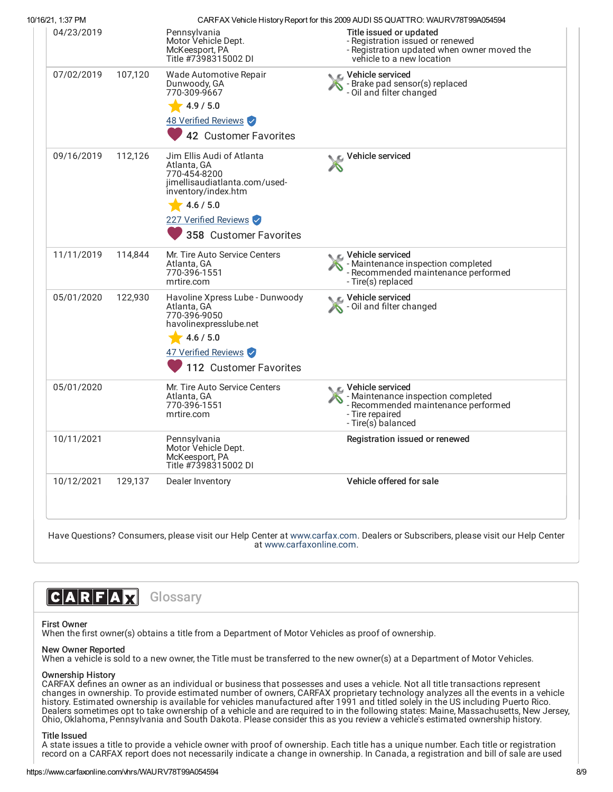| 10/16/21, 1:37 PM |         |                                                                                                                  | CARFAX Vehicle History Report for this 2009 AUDI S5 QUATTRO: WAURV78T99A054594                                                           |
|-------------------|---------|------------------------------------------------------------------------------------------------------------------|------------------------------------------------------------------------------------------------------------------------------------------|
| 04/23/2019        |         | Pennsylvania<br>Motor Vehicle Dept.<br>McKeesport, PA<br>Title #7398315002 DI                                    | Title issued or updated<br>- Registration issued or renewed<br>- Registration updated when owner moved the<br>vehicle to a new location  |
| 07/02/2019        | 107,120 | Wade Automotive Repair<br>Dunwoody, GA<br>770-309-9667                                                           | Vehicle serviced<br>Brake pad sensor(s) replaced<br>- Oil and filter changed                                                             |
|                   |         | 4.9 / 5.0                                                                                                        |                                                                                                                                          |
|                   |         | 48 Verified Reviews                                                                                              |                                                                                                                                          |
|                   |         | 42 Customer Favorites                                                                                            |                                                                                                                                          |
| 09/16/2019        | 112,126 | Jim Ellis Audi of Atlanta<br>Atlanta, GA<br>770-454-8200<br>jimellisaudiatlanta.com/used-<br>inventory/index.htm | Vehicle serviced                                                                                                                         |
|                   |         | 4.6 / 5.0                                                                                                        |                                                                                                                                          |
|                   |         | 227 Verified Reviews                                                                                             |                                                                                                                                          |
|                   |         | 358 Customer Favorites                                                                                           |                                                                                                                                          |
| 11/11/2019        | 114,844 | Mr. Tire Auto Service Centers<br>Atlanta, GA<br>770-396-1551<br>mrtire.com                                       | Vehicle serviced<br>- Maintenance inspection completed<br>- Recommended maintenance performed<br>- Tire(s) replaced                      |
| 05/01/2020        | 122.930 | Havoline Xpress Lube - Dunwoody<br>Atlanta, GA<br>770-396-9050<br>havolinexpresslube.net                         | Vehicle serviced<br>- Oil and filter changed                                                                                             |
|                   |         | 4.6 / 5.0                                                                                                        |                                                                                                                                          |
|                   |         | 47 Verified Reviews                                                                                              |                                                                                                                                          |
|                   |         | 112 Customer Favorites                                                                                           |                                                                                                                                          |
| 05/01/2020        |         | Mr. Tire Auto Service Centers<br>Atlanta, GA<br>770-396-1551<br>mrtire.com                                       | C Vehicle serviced<br>- Maintenance inspection completed<br>- Recommended maintenance performed<br>- Tire repaired<br>- Tire(s) balanced |
| 10/11/2021        |         | Pennsylvania<br>Motor Vehicle Dept.<br>McKeesport, PA<br>Title #7398315002 DI                                    | Registration issued or renewed                                                                                                           |
| 10/12/2021        | 129,137 | Dealer Inventory                                                                                                 | Vehicle offered for sale                                                                                                                 |
|                   |         |                                                                                                                  |                                                                                                                                          |

# CARFAX **Glossary**

# First Owner

When the first owner(s) obtains a title from a Department of Motor Vehicles as proof of ownership.

## New Owner Reported

When a vehicle is sold to a new owner, the Title must be transferred to the new owner(s) at a Department of Motor Vehicles.

## Ownership History

CARFAX defines an owner as an individual or business that possesses and uses a vehicle. Not all title transactions represent changes in ownership. To provide estimated number of owners, CARFAX proprietary technology analyzes all the events in a vehicle history. Estimated ownership is available for vehicles manufactured after 1991 and titled solely in the US including Puerto Rico. Dealers sometimes opt to take ownership of a vehicle and are required to in the following states: Maine, Massachusetts, New Jersey, Ohio, Oklahoma, Pennsylvania and South Dakota. Please consider this as you review a vehicle's estimated ownership history.

## Title Issued

A state issues a title to provide a vehicle owner with proof of ownership. Each title has a unique number. Each title or registration record on a CARFAX report does not necessarily indicate a change in ownership. In Canada, a registration and bill of sale are used